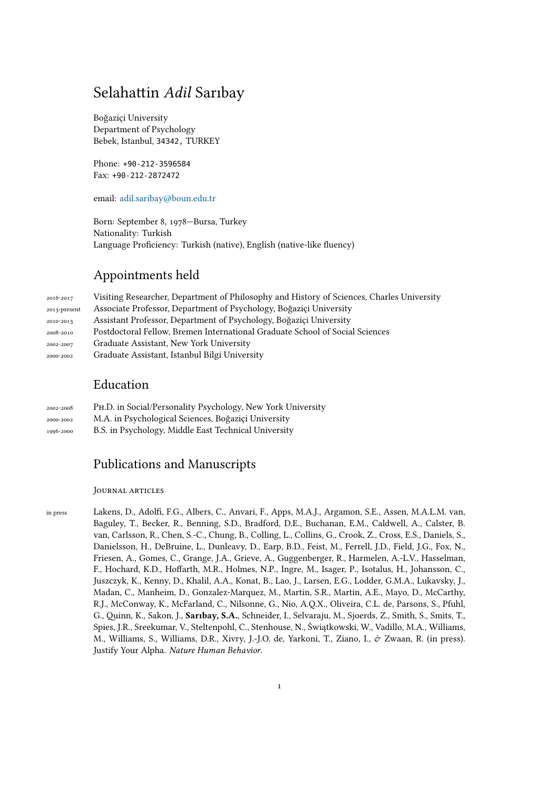# Selahattin *Adil* Sarıbay

Boğaziçi University Department of Psychology Bebek, Istanbul, 34342, TURKEY

Phone: +90-212-3596584 Fax: +90-212-2872472

email: adil.saribay@boun.edu.tr

Born: September 8, 1978—Bursa, Turkey Nationality: Turkish Langu[age Proficiency: Turkish \(](mailto:adil.saribay@boun.edu.tr)native), English (native-like fluency)

## Appointments held

| 2016-2017    | Visiting Researcher, Department of Philosophy and History of Sciences, Charles University |
|--------------|-------------------------------------------------------------------------------------------|
| 2013-present | Associate Professor, Department of Psychology, Boğazici University                        |
| 2010-2013    | Assistant Professor, Department of Psychology, Boğaziçi University                        |
| 2008-2010    | Postdoctoral Fellow, Bremen International Graduate School of Social Sciences              |
| 2002-2007    | Graduate Assistant, New York University                                                   |
| 2000-2002    | Graduate Assistant, Istanbul Bilgi University                                             |

## Education

| 2002-2008 | PH.D. in Social/Personality Psychology, New York University |
|-----------|-------------------------------------------------------------|
| 2000-2002 | M.A. in Psychological Sciences, Boğaziçi University         |
| 1996-2000 | B.S. in Psychology, Middle East Technical University        |

## Publications and Manuscripts

#### Journal articles

in press Lakens, D., Adolfi, F.G., Albers, C., Anvari, F., Apps, M.A.J., Argamon, S.E., Assen, M.A.L.M. van, Baguley, T., Becker, R., Benning, S.D., Bradford, D.E., Buchanan, E.M., Caldwell, A., Calster, B. van, Carlsson, R., Chen, S.-C., Chung, B., Colling, L., Collins, G., Crook, Z., Cross, E.S., Daniels, S., Danielsson, H., DeBruine, L., Dunleavy, D., Earp, B.D., Feist, M., Ferrell, J.D., Field, J.G., Fox, N., Friesen, A., Gomes, C., Grange, J.A., Grieve, A., Guggenberger, R., Harmelen, A.-L.V., Hasselman, F., Hochard, K.D., Hoffarth, M.R., Holmes, N.P., Ingre, M., Isager, P., Isotalus, H., Johansson, C., Juszczyk, K., Kenny, D., Khalil, A.A., Konat, B., Lao, J., Larsen, E.G., Lodder, G.M.A., Lukavsky, J., Madan, C., Manheim, D., Gonzalez-Marquez, M., Martin, S.R., Martin, A.E., Mayo, D., McCarthy, R.J., McConway, K., McFarland, C., Nilsonne, G., Nio, A.Q.X., Oliveira, C.L. de, Parsons, S., Pfuhl, G., Quinn, K., Sakon, J., **Sarıbay, S.A.**, Schneider, I., Selvaraju, M., Sjoerds, Z., Smith, S., Smits, T., Spies, J.R., Sreekumar, V., Steltenpohl, C., Stenhouse, N., Świątkowski, W., Vadillo, M.A., Williams, M., Williams, S., Williams, D.R., Xivry, J.-J.O. de, Yarkoni, T., Ziano, I., & Zwaan, R. (in press). Justify Your Alpha. *Nature Human Behavior*.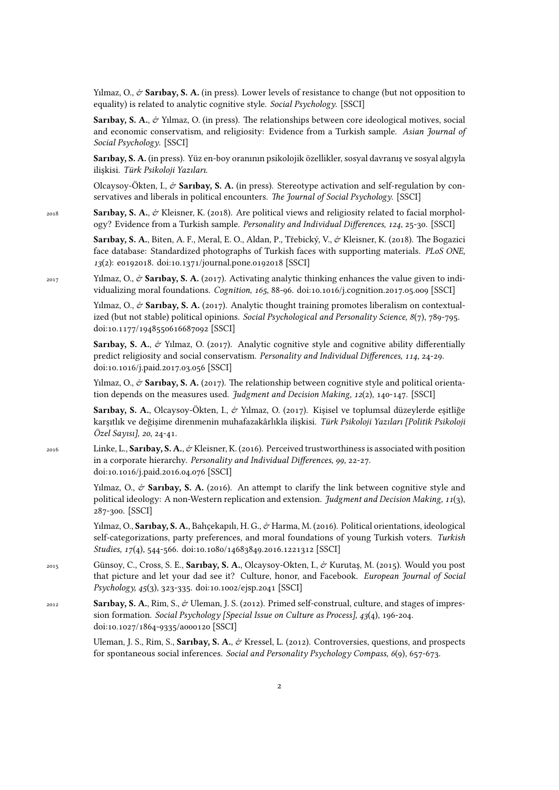Yilmaz, O.,  $\dot{\sigma}$  **Saribay, S. A.** (in press). Lower levels of resistance to change (but not opposition to equality) is related to analytic cognitive style. *Social Psychology*. [SSCI]

**Sarıbay, S. A., & Yılmaz, O. (in press). The relationships between core ideological motives, social** and economic conservatism, and religiosity: Evidence from a Turkish sample. *Asian Journal of Social Psychology*. [SSCI]

**Sarıbay, S. A.** (in press). Yüz en-boy oranının psikolojik özellikler, sosyal davranış ve sosyal algıyla ilişkisi. *Türk Psikoloji Yazıları*.

Olcaysoy-Ökten, I.,  $\dot{\mathcal{O}}$  **Sarıbay, S. A.** (in press). Stereotype activation and self-regulation by conservatives and liberals in political encounters. *The Journal of Social Psychology*. [SSCI]

2018 **Sarıbay, S. A.**, & Kleisner, K. (2018). Are political views and religiosity related to facial morphology? Evidence from a Turkish sample. *Personality and Individual Differences, 124*, 25-30. [SSCI]

> Sarıbay, S. A., Biten, A. F., Meral, E. O., Aldan, P., Třebický, V., & Kleisner, K. (2018). The Bogazici face database: Standardized photographs of Turkish faces with supporting materials. *PLoS ONE, 13*(2): e0192018. doi:10.1371/journal.pone.0192018 [SSCI]

<sup>2017</sup> Yılmaz, O., & **Sarıbay, S. A.** (2017). Activating analytic thinking enhances the value given to individualizing moral foundations. *Cognition, 165*, 88-96. doi:10.1016/j.cognition.2017.05.009 [SSCI]

> Yılmaz, O., & Sarıbay, S. A. (2017). Analytic thought training promotes liberalism on contextualized (but not stable) political opinions. *Social Psychological and Personality Science, 8*(7), 789-795. doi:10.1177/1948550616687092 [SSCI]

> **Sarıbay, S. A.**,  $\mathcal{O}'$  Yılmaz, O. (2017). Analytic cognitive style and cognitive ability differentially predict religiosity and social conservatism. *Personality and Individual Differences, 114*, 24-29. doi:10.1016/j.paid.2017.03.056 [SSCI]

> Yılmaz, O.,  $\dot{\sigma}$  **Sarıbay, S. A.** (2017). The relationship between cognitive style and political orientation depends on the measures used. *Judgment and Decision Making, 12*(2), 140-147. [SSCI]

> **Sarıbay, S. A.**, Olcaysoy-Ökten, I., & Yılmaz, O. (2017). Kişisel ve toplumsal düzeylerde eşitliğe karşıtlık ve değişime direnmenin muhafazakârlıkla ilişkisi. *Türk Psikoloji Yazıları [Politik Psikoloji Özel Sayısı], 20*, 24-41.

2016 Linke, L., **Sarıbay, S. A.**, & Kleisner, K. (2016). Perceived trustworthiness is associated with position in a corporate hierarchy. *Personality and Individual Differences, 99,* 22-27. doi:10.1016/j.paid.2016.04.076 [SSCI]

> Yilmaz, O.,  $\mathcal{O}$  **Sarıbay, S. A.** (2016). An attempt to clarify the link between cognitive style and political ideology: A non-Western replication and extension. *Judgment and Decision Making, 11*(3), 287-300. [SSCI]

> Yılmaz, O., **Sarıbay, S. A.**, Bahçekapılı, H. G., & Harma, M. (2016). Political orientations, ideological self-categorizations, party preferences, and moral foundations of young Turkish voters. *Turkish Studies, 17*(4), 544-566. doi:10.1080/14683849.2016.1221312 [SSCI]

- <sup>2015</sup> Günsoy, C., Cross, S. E., **Sarıbay, S. A.**, Olcaysoy-Okten, I., & Kurutaş, M. (2015). Would you post that picture and let your dad see it? Culture, honor, and Facebook. *European Journal of Social Psychology, 45*(3), 323-335. doi:10.1002/ejsp.2041 [SSCI]
- <sup>2012</sup> **Sarıbay, S. A.**, Rim, S., & Uleman, J. S. (2012). Primed self-construal, culture, and stages of impression formation. *Social Psychology [Special Issue on Culture as Process], 43*(4), 196-204. doi:10.1027/1864-9335/a000120 [SSCI]

Uleman, J. S., Rim, S., **Sarıbay, S. A.**,  $\phi$  Kressel, L. (2012). Controversies, questions, and prospects for spontaneous social inferences. *Social and Personality Psychology Compass, 6*(9), 657-673.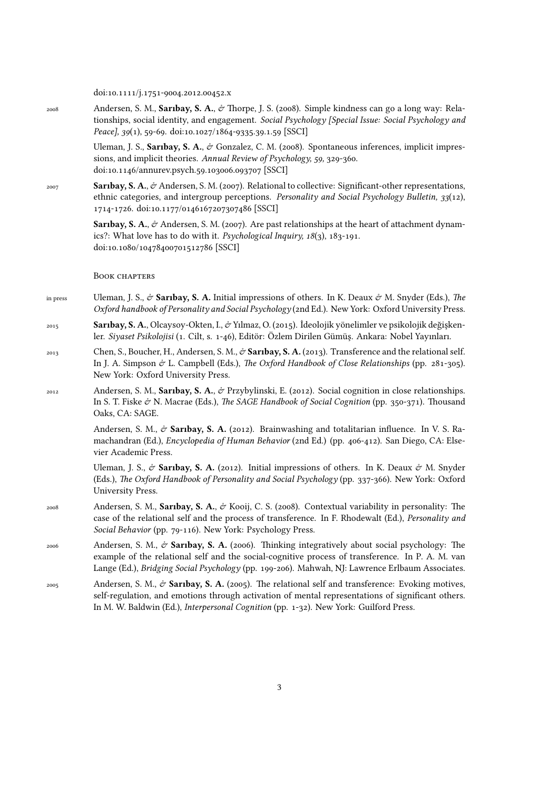doi:10.1111/j.1751-9004.2012.00452.x

<sup>2008</sup> Andersen, S. M., **Sarıbay, S. A.**, & Thorpe, J. S. (2008). Simple kindness can go a long way: Relationships, social identity, and engagement. *Social Psychology [Special Issue: Social Psychology and Peace], 39*(1), 59-69. doi:10.1027/1864-9335.39.1.59 [SSCI]

> Uleman, J. S., Sarıbay, S. A., & Gonzalez, C. M. (2008). Spontaneous inferences, implicit impressions, and implicit theories. *Annual Review of Psychology, 59,* 329-360. doi:10.1146/annurev.psych.59.103006.093707 [SSCI]

<sup>2007</sup> **Sarıbay, S. A.**, & Andersen, S. M. (2007). Relational to collective: Significant-other representations, ethnic categories, and intergroup perceptions. *Personality and Social Psychology Bulletin, 33*(12), 1714-1726. doi:10.1177/0146167207307486 [SSCI]

> Sarıbay, S. A., & Andersen, S. M. (2007). Are past relationships at the heart of attachment dynamics?: What love has to do with it. *Psychological Inquiry, 18*(3), 183-191. doi:10.1080/10478400701512786 [SSCI]

#### BOOK CHAPTERS

- in press Uleman, J. S.,  $\phi$  **Saribay, S. A.** Initial impressions of others. In K. Deaux  $\phi$  M. Snyder (Eds.), *The Oxford handbook of Personality and Social Psychology* (2nd Ed.). New York: Oxford University Press.
- <sup>2015</sup> **Sarıbay, S. A.**, Olcaysoy-Okten, I., & Yılmaz, O. (2015). İdeolojik yönelimler ve psikolojik değişkenler. *Siyaset Psikolojisi* (1. Cilt, s. 1-46), Editör: Özlem Dirilen Gümüş. Ankara: Nobel Yayınları.
- <sup>2013</sup> Chen, S., Boucher, H., Andersen, S. M., & **Sarıbay, S. A.** (2013). Transference and the relational self. In J. A. Simpson & L. Campbell (Eds.), *The Oxford Handbook of Close Relationships* (pp. 281-305). New York: Oxford University Press.
- <sup>2012</sup> Andersen, S. M., **Sarıbay, S. A.**, & Przybylinski, E. (2012). Social cognition in close relationships. In S. T. Fiske  $\mathcal{O}$  N. Macrae (Eds.), *The SAGE Handbook of Social Cognition* (pp. 350-371). Thousand Oaks, CA: SAGE.

Andersen, S. M.,  $\dot{\mathcal{O}}$  **Sarıbay, S. A.** (2012). Brainwashing and totalitarian influence. In V. S. Ramachandran (Ed.), *Encyclopedia of Human Behavior* (2nd Ed.) (pp. 406-412). San Diego, CA: Elsevier Academic Press.

Uleman, J. S.,  $\dot{\mathcal{C}}$  **Sarıbay, S. A.** (2012). Initial impressions of others. In K. Deaux  $\dot{\mathcal{C}}$  M. Snyder (Eds.), *The Oxford Handbook of Personality and Social Psychology* (pp. 337-366). New York: Oxford University Press.

- <sup>2008</sup> Andersen, S. M., **Sarıbay, S. A.**, & Kooij, C. S. (2008). Contextual variability in personality: The case of the relational self and the process of transference. In F. Rhodewalt (Ed.), *Personality and Social Behavior* (pp. 79-116). New York: Psychology Press.
- <sup>2006</sup> Andersen, S. M., & **Sarıbay, S. A.** (2006). Thinking integratively about social psychology: The example of the relational self and the social-cognitive process of transference. In P. A. M. van Lange (Ed.), *Bridging Social Psychology* (pp. 199-206). Mahwah, NJ: Lawrence Erlbaum Associates.
- <sup>2005</sup> Andersen, S. M., & **Sarıbay, S. A.** (2005). The relational self and transference: Evoking motives, self-regulation, and emotions through activation of mental representations of significant others. In M. W. Baldwin (Ed.), *Interpersonal Cognition* (pp. 1-32). New York: Guilford Press.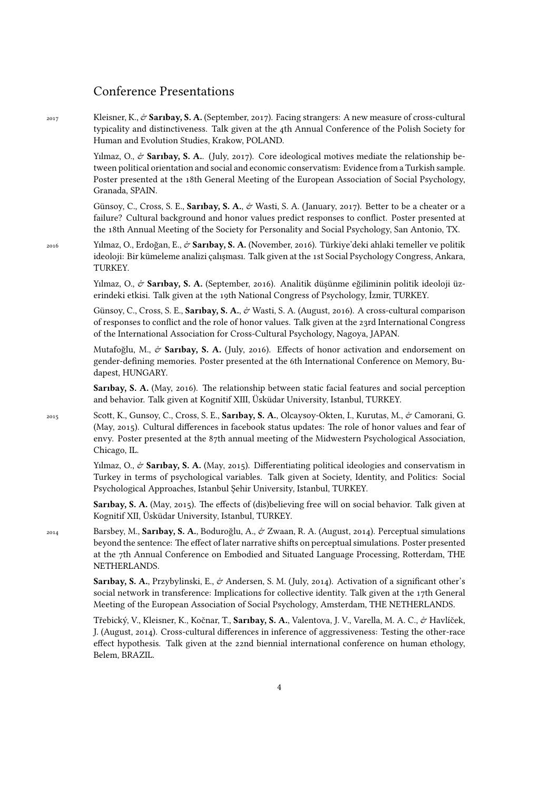## Conference Presentations

<sup>2017</sup> Kleisner, K., & **Sarıbay, S. A.** (September, 2017). Facing strangers: A new measure of cross-cultural typicality and distinctiveness. Talk given at the 4th Annual Conference of the Polish Society for Human and Evolution Studies, Krakow, POLAND.

> Yılmaz, O.,  $\dot{\sigma}$  **Sarıbay, S. A.**. (July, 2017). Core ideological motives mediate the relationship between political orientation and social and economic conservatism: Evidence from a Turkish sample. Poster presented at the 18th General Meeting of the European Association of Social Psychology, Granada, SPAIN.

> Günsoy, C., Cross, S. E., **Sarıbay, S. A.**, & Wasti, S. A. (January, 2017). Better to be a cheater or a failure? Cultural background and honor values predict responses to conflict. Poster presented at the 18th Annual Meeting of the Society for Personality and Social Psychology, San Antonio, TX.

<sup>2016</sup> Yılmaz, O., Erdoğan, E., & **Sarıbay, S. A.** (November, 2016). Türkiye'deki ahlaki temeller ve politik ideoloji: Bir kümeleme analizi çalışması. Talk given at the 1st Social Psychology Congress, Ankara, TURKEY.

> Yılmaz, O., & **Sarıbay, S. A.** (September, 2016). Analitik düşünme eğiliminin politik ideoloji üzerindeki etkisi. Talk given at the 19th National Congress of Psychology, İzmir, TURKEY.

> Günsoy, C., Cross, S. E., Sarıbay, S. A., & Wasti, S. A. (August, 2016). A cross-cultural comparison of responses to conflict and the role of honor values. Talk given at the 23rd International Congress of the International Association for Cross-Cultural Psychology, Nagoya, JAPAN.

> Mutafoğlu, M., & **Sarıbay, S. A.** (July, 2016). Effects of honor activation and endorsement on gender-defining memories. Poster presented at the 6th International Conference on Memory, Budapest, HUNGARY.

> **Sarıbay, S. A.** (May, 2016). The relationship between static facial features and social perception and behavior. Talk given at Kognitif XIII, Üsküdar University, Istanbul, TURKEY.

<sup>2015</sup> Scott, K., Gunsoy, C., Cross, S. E., **Sarıbay, S. A.**, Olcaysoy-Okten, I., Kurutas, M., & Camorani, G. (May, 2015). Cultural differences in facebook status updates: The role of honor values and fear of envy. Poster presented at the 87th annual meeting of the Midwestern Psychological Association, Chicago, IL.

> Yılmaz, O.,  $\dot{\sigma}$  **Sarıbay, S. A.** (May, 2015). Differentiating political ideologies and conservatism in Turkey in terms of psychological variables. Talk given at Society, Identity, and Politics: Social Psychological Approaches, Istanbul Şehir University, Istanbul, TURKEY.

> **Sarıbay, S. A.** (May, 2015). The effects of (dis)believing free will on social behavior. Talk given at Kognitif XII, Üsküdar University, Istanbul, TURKEY.

<sup>2014</sup> Barsbey, M., **Sarıbay, S. A.**, Boduroğlu, A., & Zwaan, R. A. (August, 2014). Perceptual simulations beyond the sentence: The effect of later narrative shifts on perceptual simulations. Poster presented at the 7th Annual Conference on Embodied and Situated Language Processing, Rotterdam, THE NETHERLANDS.

> **Sarıbay, S. A.**, Przybylinski, E., & Andersen, S. M. (July, 2014). Activation of a significant other's social network in transference: Implications for collective identity. Talk given at the 17th General Meeting of the European Association of Social Psychology, Amsterdam, THE NETHERLANDS.

> Třebický, V., Kleisner, K., Kočnar, T., Sarıbay, S. A., Valentova, J. V., Varella, M. A. C., & Havlíček, J. (August, 2014). Cross-cultural differences in inference of aggressiveness: Testing the other-race effect hypothesis. Talk given at the 22nd biennial international conference on human ethology, Belem, BRAZIL.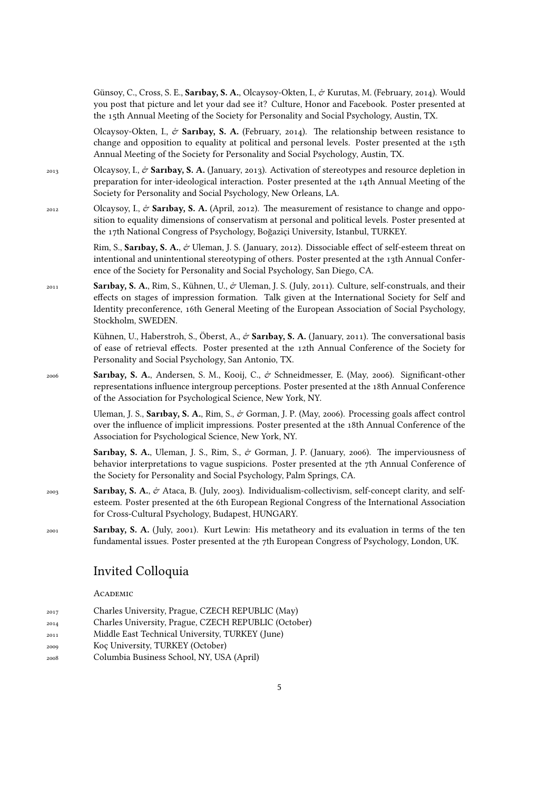Günsoy, C., Cross, S. E., Sarıbay, S. A., Olcaysoy-Okten, I., & Kurutas, M. (February, 2014). Would you post that picture and let your dad see it? Culture, Honor and Facebook. Poster presented at the 15th Annual Meeting of the Society for Personality and Social Psychology, Austin, TX.

Olcaysoy-Okten, I., & Sarıbay, S. A. (February, 2014). The relationship between resistance to change and opposition to equality at political and personal levels. Poster presented at the 15th Annual Meeting of the Society for Personality and Social Psychology, Austin, TX.

- <sup>2013</sup> Olcaysoy, I., & **Sarıbay, S. A.** (January, 2013). Activation of stereotypes and resource depletion in preparation for inter-ideological interaction. Poster presented at the 14th Annual Meeting of the Society for Personality and Social Psychology, New Orleans, LA.
- <sup>2012</sup> Olcaysoy, I., & **Sarıbay, S. A.** (April, 2012). The measurement of resistance to change and opposition to equality dimensions of conservatism at personal and political levels. Poster presented at the 17th National Congress of Psychology, Boğaziçi University, Istanbul, TURKEY.

Rim, S., **Sarıbay, S. A.**,  $\phi$  Uleman, J. S. (January, 2012). Dissociable effect of self-esteem threat on intentional and unintentional stereotyping of others. Poster presented at the 13th Annual Conference of the Society for Personality and Social Psychology, San Diego, CA.

<sup>2011</sup> **Sarıbay, S. A.**, Rim, S., Kühnen, U., & Uleman, J. S. (July, 2011). Culture, self-construals, and their effects on stages of impression formation. Talk given at the International Society for Self and Identity preconference, 16th General Meeting of the European Association of Social Psychology, Stockholm, SWEDEN.

> Kühnen, U., Haberstroh, S., Öberst, A., & Sarıbay, S. A. (January, 2011). The conversational basis of ease of retrieval effects. Poster presented at the 12th Annual Conference of the Society for Personality and Social Psychology, San Antonio, TX.

<sup>2006</sup> **Sarıbay, S. A.**, Andersen, S. M., Kooij, C., & Schneidmesser, E. (May, 2006). Significant-other representations influence intergroup perceptions. Poster presented at the 18th Annual Conference of the Association for Psychological Science, New York, NY.

> Uleman, J. S., **Sarıbay, S. A.**, Rim, S., & Gorman, J. P. (May, 2006). Processing goals affect control over the influence of implicit impressions. Poster presented at the 18th Annual Conference of the Association for Psychological Science, New York, NY.

> **Sarıbay, S. A.**, Uleman, J. S., Rim, S., & Gorman, J. P. (January, 2006). The imperviousness of behavior interpretations to vague suspicions. Poster presented at the 7th Annual Conference of the Society for Personality and Social Psychology, Palm Springs, CA.

- <sup>2003</sup> **Sarıbay, S. A.**, & Ataca, B. (July, 2003). Individualism-collectivism, self-concept clarity, and selfesteem. Poster presented at the 6th European Regional Congress of the International Association for Cross-Cultural Psychology, Budapest, HUNGARY.
- <sup>2001</sup> **Sarıbay, S. A.** (July, 2001). Kurt Lewin: His metatheory and its evaluation in terms of the ten fundamental issues. Poster presented at the 7th European Congress of Psychology, London, UK.

## Invited Colloquia

#### ACADEMIC

| 2017 | Charles University, Prague, CZECH REPUBLIC (May)     |
|------|------------------------------------------------------|
| 2014 | Charles University, Prague, CZECH REPUBLIC (October) |

- <sup>2011</sup> Middle East Technical University, TURKEY (June)
- <sup>2009</sup> Koç University, TURKEY (October)
- <sup>2008</sup> Columbia Business School, NY, USA (April)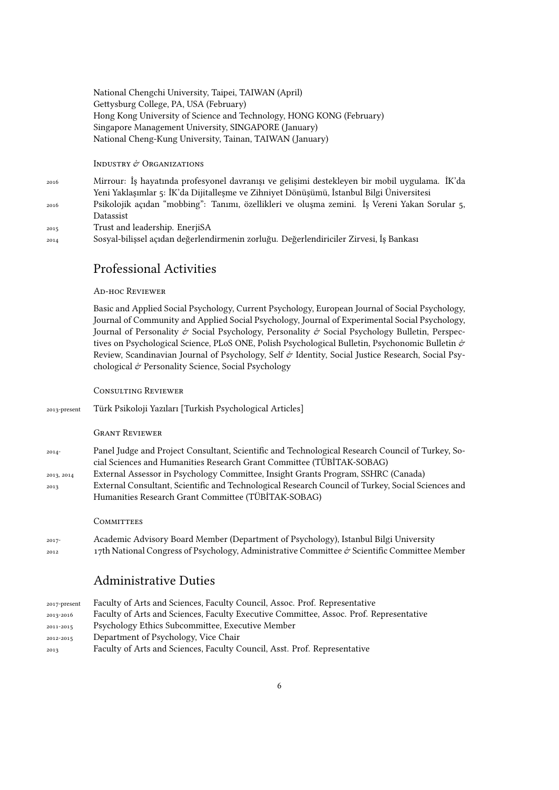#### National Chengchi University, Taipei, TAIWAN (April) Gettysburg College, PA, USA (February) Hong Kong University of Science and Technology, HONG KONG (February) Singapore Management University, SINGAPORE (January) National Cheng-Kung University, Tainan, TAIWAN (January)

#### INDUSTRY & ORGANIZATIONS

 Mirrour: İş hayatında profesyonel davranışı ve gelişimi destekleyen bir mobil uygulama. İK'da Yeni Yaklaşımlar 5: İK'da Dijitalleşme ve Zihniyet Dönüşümü, İstanbul Bilgi Üniversitesi Psikolojik açıdan "mobbing": Tanımı, özellikleri ve oluşma zemini. İş Vereni Yakan Sorular 5, Datassist Trust and leadership. EnerjiSA Sosyal-bilişsel açıdan değerlendirmenin zorluğu. Değerlendiriciler Zirvesi, İş Bankası

## Professional Activities

#### Ad-hoc Reviewer

Basic and Applied Social Psychology, Current Psychology, European Journal of Social Psychology, Journal of Community and Applied Social Psychology, Journal of Experimental Social Psychology, Journal of Personality  $\mathcal{O}$  Social Psychology, Personality  $\mathcal{O}$  Social Psychology Bulletin, Perspectives on Psychological Science, PLoS ONE, Polish Psychological Bulletin, Psychonomic Bulletin & Review, Scandinavian Journal of Psychology, Self  $\mathcal O$  Identity, Social Justice Research, Social Psychological & Personality Science, Social Psychology

#### Consulting Reviewer

| 2013-present    | Türk Psikoloji Yazıları [Turkish Psychological Articles]                                                                                                                                          |
|-----------------|---------------------------------------------------------------------------------------------------------------------------------------------------------------------------------------------------|
|                 | <b>GRANT REVIEWER</b>                                                                                                                                                                             |
| $2014 -$        | Panel Judge and Project Consultant, Scientific and Technological Research Council of Turkey, So-<br>cial Sciences and Humanities Research Grant Committee (TÜBİTAK-SOBAG)                         |
| 2013, 2014      | External Assessor in Psychology Committee, Insight Grants Program, SSHRC (Canada)                                                                                                                 |
| 2013            | External Consultant, Scientific and Technological Research Council of Turkey, Social Sciences and<br>Humanities Research Grant Committee (TÜBİTAK-SOBAG)                                          |
|                 | COMMITTEES                                                                                                                                                                                        |
| $2017-$<br>2012 | Academic Advisory Board Member (Department of Psychology), Istanbul Bilgi University<br>17th National Congress of Psychology, Administrative Committee $\dot{\sigma}$ Scientific Committee Member |
|                 | <b>Administrative Duties</b>                                                                                                                                                                      |

| 2017-present | Faculty of Arts and Sciences, Faculty Council, Assoc. Prof. Representative             |
|--------------|----------------------------------------------------------------------------------------|
| 2013-2016    | Faculty of Arts and Sciences, Faculty Executive Committee, Assoc. Prof. Representative |
| 2011-2015    | Psychology Ethics Subcommittee, Executive Member                                       |
| 2012-2015    | Department of Psychology, Vice Chair                                                   |
| 2013         | Faculty of Arts and Sciences, Faculty Council, Asst. Prof. Representative              |